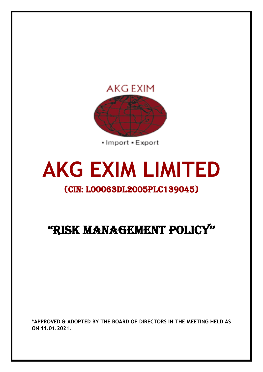

• Import • Export

## **AKG EXIM LIMITED**

## (CIN: L00063DL2005PLC139045)

## "RISK MANAGEMENT POLICY''

**\*APPROVED & ADOPTED BY THE BOARD OF DIRECTORS IN THE MEETING HELD AS ON 11.01.2021.**